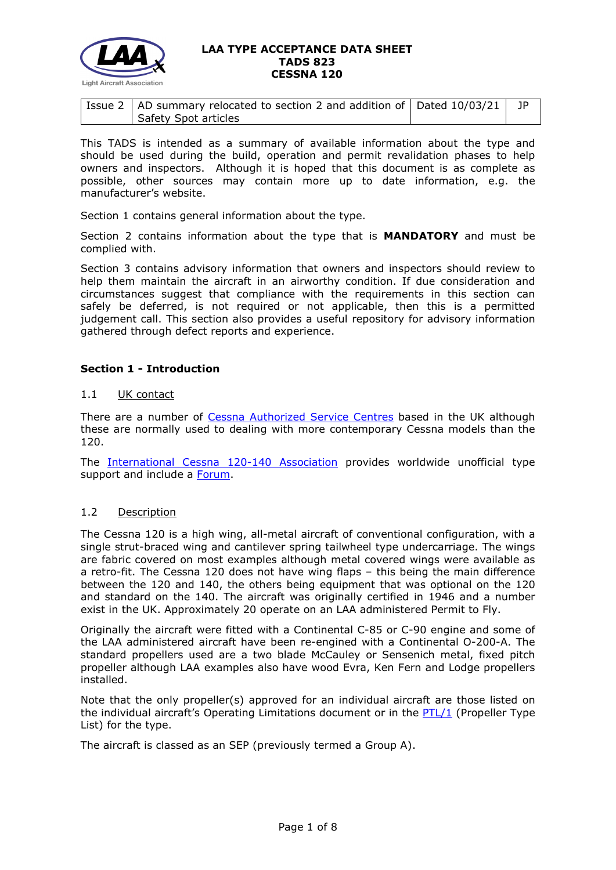

| $^1$ Issue 2   AD summary relocated to section 2 and addition of   Dated 10/03/21   JP |  |
|----------------------------------------------------------------------------------------|--|
| Safety Spot articles                                                                   |  |

This TADS is intended as a summary of available information about the type and should be used during the build, operation and permit revalidation phases to help owners and inspectors. Although it is hoped that this document is as complete as possible, other sources may contain more up to date information, e.g. the manufacturer's website.

Section 1 contains general information about the type.

Section 2 contains information about the type that is **MANDATORY** and must be complied with.

Section 3 contains advisory information that owners and inspectors should review to help them maintain the aircraft in an airworthy condition. If due consideration and circumstances suggest that compliance with the requirements in this section can safely be deferred, is not required or not applicable, then this is a permitted judgement call. This section also provides a useful repository for advisory information gathered through defect reports and experience.

# **Section 1 - Introduction**

## 1.1 UK contact

There are a number of [Cessna Authorized Service Centres](http://txtav.com/en/service-locator) based in the UK although these are normally used to dealing with more contemporary Cessna models than the 120.

The [International Cessna 120-140 Association](https://cessna120140.com/) provides worldwide unofficial type support and include a [Forum.](https://www.cessna120140.com/Forum2018/)

## 1.2 Description

The Cessna 120 is a high wing, all-metal aircraft of conventional configuration, with a single strut-braced wing and cantilever spring tailwheel type undercarriage. The wings are fabric covered on most examples although metal covered wings were available as a retro-fit. The Cessna 120 does not have wing flaps – this being the main difference between the 120 and 140, the others being equipment that was optional on the 120 and standard on the 140. The aircraft was originally certified in 1946 and a number exist in the UK. Approximately 20 operate on an LAA administered Permit to Fly.

Originally the aircraft were fitted with a Continental C-85 or C-90 engine and some of the LAA administered aircraft have been re-engined with a Continental O-200-A. The standard propellers used are a two blade McCauley or Sensenich metal, fixed pitch propeller although LAA examples also have wood Evra, Ken Fern and Lodge propellers installed.

Note that the only propeller(s) approved for an individual aircraft are those listed on the individual aircraft's Operating Limitations document or in the  $PTL/1$  (Propeller Type List) for the type.

The aircraft is classed as an SEP (previously termed a Group A).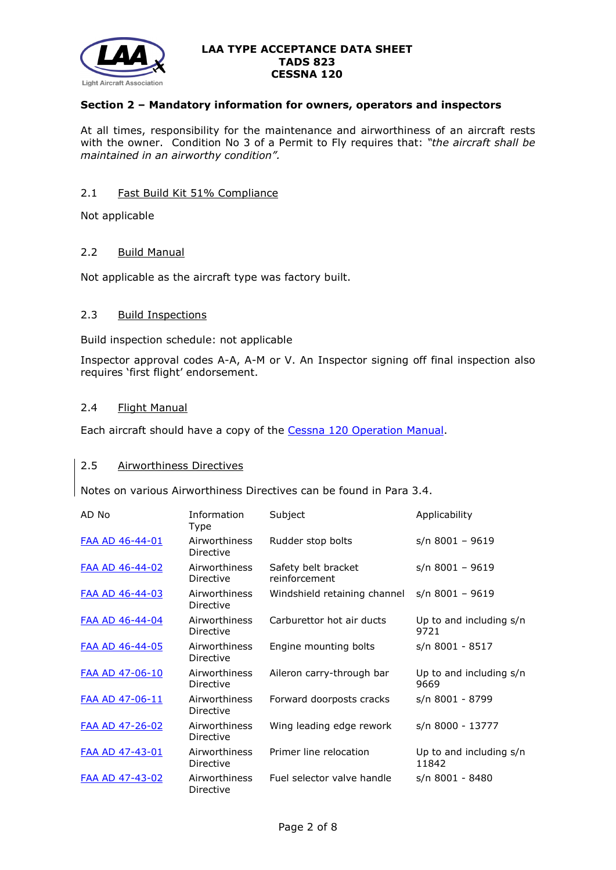

# **Section 2 – Mandatory information for owners, operators and inspectors**

At all times, responsibility for the maintenance and airworthiness of an aircraft rests with the owner. Condition No 3 of a Permit to Fly requires that: *"the aircraft shall be maintained in an airworthy condition".* 

# 2.1 Fast Build Kit 51% Compliance

Not applicable

#### 2.2 Build Manual

Not applicable as the aircraft type was factory built.

## 2.3 Build Inspections

Build inspection schedule: not applicable

Inspector approval codes A-A, A-M or V. An Inspector signing off final inspection also requires 'first flight' endorsement.

#### 2.4 Flight Manual

Each aircraft should have a copy of the [Cessna 120 Operation Manual.](http://www.lightaircraftassociation.co.uk/engineering/TADs/823/Cessna%20120%20Operation%20Manual.pdf)

#### 2.5 Airworthiness Directives

Notes on various Airworthiness Directives can be found in Para 3.4.

| AD No                  | Information<br>Type        | Subject                              | Applicability                    |
|------------------------|----------------------------|--------------------------------------|----------------------------------|
| <b>FAA AD 46-44-01</b> | Airworthiness<br>Directive | Rudder stop bolts                    | $s/n$ 8001 - 9619                |
| <b>FAA AD 46-44-02</b> | Airworthiness<br>Directive | Safety belt bracket<br>reinforcement | s/n 8001 - 9619                  |
| FAA AD 46-44-03        | Airworthiness<br>Directive | Windshield retaining channel         | $s/n$ 8001 - 9619                |
| FAA AD 46-44-04        | Airworthiness<br>Directive | Carburettor hot air ducts            | Up to and including s/n<br>9721  |
| FAA AD 46-44-05        | Airworthiness<br>Directive | Engine mounting bolts                | s/n 8001 - 8517                  |
| FAA AD 47-06-10        | Airworthiness<br>Directive | Aileron carry-through bar            | Up to and including s/n<br>9669  |
| FAA AD 47-06-11        | Airworthiness<br>Directive | Forward doorposts cracks             | s/n 8001 - 8799                  |
| <b>FAA AD 47-26-02</b> | Airworthiness<br>Directive | Wing leading edge rework             | s/n 8000 - 13777                 |
| FAA AD 47-43-01        | Airworthiness<br>Directive | Primer line relocation               | Up to and including s/n<br>11842 |
| FAA AD 47-43-02        | Airworthiness<br>Directive | Fuel selector valve handle           | s/n 8001 - 8480                  |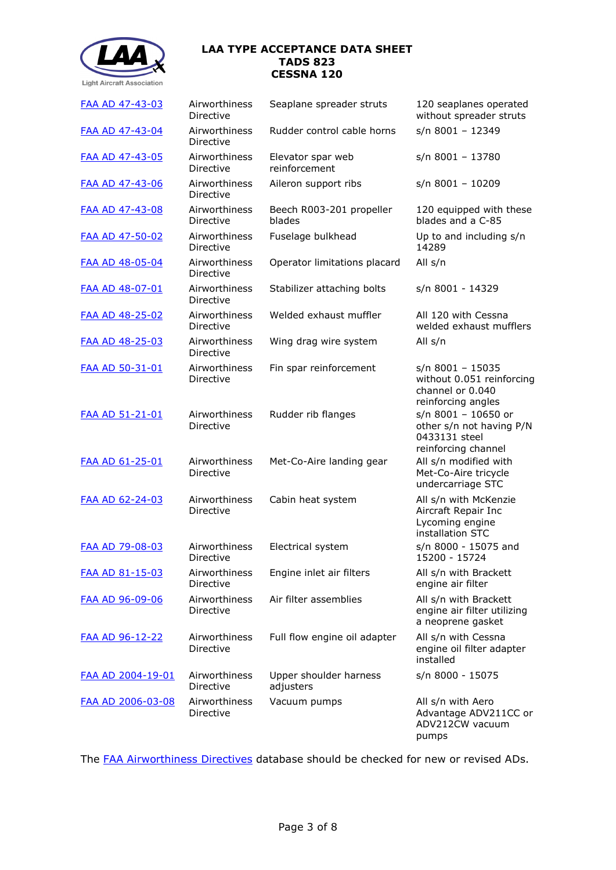

| FAA AD 47-43-03        | Airworthiness<br>Directive | Seaplane spreader struts            | 120 seaplanes operated<br>without spreader struts                                       |
|------------------------|----------------------------|-------------------------------------|-----------------------------------------------------------------------------------------|
| <b>FAA AD 47-43-04</b> | Airworthiness<br>Directive | Rudder control cable horns          | $s/n$ 8001 - 12349                                                                      |
| FAA AD 47-43-05        | Airworthiness<br>Directive | Elevator spar web<br>reinforcement  | s/n 8001 - 13780                                                                        |
| FAA AD 47-43-06        | Airworthiness<br>Directive | Aileron support ribs                | $s/n$ 8001 - 10209                                                                      |
| <b>FAA AD 47-43-08</b> | Airworthiness<br>Directive | Beech R003-201 propeller<br>blades  | 120 equipped with these<br>blades and a C-85                                            |
| FAA AD 47-50-02        | Airworthiness<br>Directive | Fuselage bulkhead                   | Up to and including s/n<br>14289                                                        |
| FAA AD 48-05-04        | Airworthiness<br>Directive | Operator limitations placard        | All s/n                                                                                 |
| FAA AD 48-07-01        | Airworthiness<br>Directive | Stabilizer attaching bolts          | s/n 8001 - 14329                                                                        |
| FAA AD 48-25-02        | Airworthiness<br>Directive | Welded exhaust muffler              | All 120 with Cessna<br>welded exhaust mufflers                                          |
| <b>FAA AD 48-25-03</b> | Airworthiness<br>Directive | Wing drag wire system               | All s/n                                                                                 |
| FAA AD 50-31-01        | Airworthiness<br>Directive | Fin spar reinforcement              | s/n 8001 - 15035<br>without 0.051 reinforcing<br>channel or 0.040<br>reinforcing angles |
| <b>FAA AD 51-21-01</b> | Airworthiness<br>Directive | Rudder rib flanges                  | s/n 8001 - 10650 or<br>other s/n not having P/N<br>0433131 steel<br>reinforcing channel |
| FAA AD 61-25-01        | Airworthiness<br>Directive | Met-Co-Aire landing gear            | All s/n modified with<br>Met-Co-Aire tricycle<br>undercarriage STC                      |
| FAA AD 62-24-03        | Airworthiness<br>Directive | Cabin heat system                   | All s/n with McKenzie<br>Aircraft Repair Inc<br>Lycoming engine<br>installation STC     |
| <b>FAA AD 79-08-03</b> | Airworthiness<br>Directive | Electrical system                   | s/n 8000 - 15075 and<br>15200 - 15724                                                   |
| <b>FAA AD 81-15-03</b> | Airworthiness<br>Directive | Engine inlet air filters            | All s/n with Brackett<br>engine air filter                                              |
| <b>FAA AD 96-09-06</b> | Airworthiness<br>Directive | Air filter assemblies               | All s/n with Brackett<br>engine air filter utilizing<br>a neoprene gasket               |
| FAA AD 96-12-22        | Airworthiness<br>Directive | Full flow engine oil adapter        | All s/n with Cessna<br>engine oil filter adapter<br>installed                           |
| FAA AD 2004-19-01      | Airworthiness<br>Directive | Upper shoulder harness<br>adjusters | s/n 8000 - 15075                                                                        |
| FAA AD 2006-03-08      | Airworthiness<br>Directive | Vacuum pumps                        | All s/n with Aero<br>Advantage ADV211CC or<br>ADV212CW vacuum<br>pumps                  |

The [FAA Airworthiness Directives](http://rgl.faa.gov/Regulatory_and_Guidance_Library/rgAD.nsf/Frameset?OpenPage) database should be checked for new or revised ADs.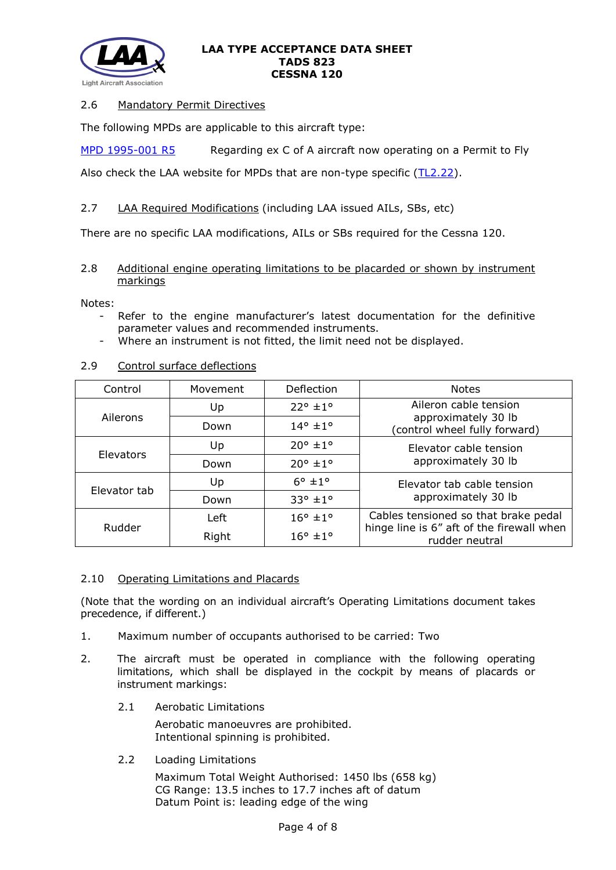

# 2.6 Mandatory Permit Directives

The following MPDs are applicable to this aircraft type:

[MPD 1995-001 R5](http://www.lightaircraftassociation.co.uk/engineering/TADs/823/MPD%201995-001%20R5.pdf) Regarding ex C of A aircraft now operating on a Permit to Fly

Also check the LAA website for MPDs that are non-type specific [\(TL2.22\)](http://www.lightaircraftassociation.co.uk/engineering/TechnicalLeaflets/Operating%20An%20Aircraft/TL%202.22%20non-type%20specific%20MPDs.pdf).

# 2.7 LAA Required Modifications (including LAA issued AILs, SBs, etc)

There are no specific LAA modifications, AILs or SBs required for the Cessna 120.

## 2.8 Additional engine operating limitations to be placarded or shown by instrument markings

Notes:

- Refer to the engine manufacturer's latest documentation for the definitive parameter values and recommended instruments.
- Where an instrument is not fitted, the limit need not be displayed.

## 2.9 Control surface deflections

| Control      | Movement | Deflection                 | <b>Notes</b>                                                |  |
|--------------|----------|----------------------------|-------------------------------------------------------------|--|
|              | Up       | $22^{\circ}$ ±1°           | Aileron cable tension                                       |  |
| Ailerons     | Down     | $14^{\circ}$ ± $1^{\circ}$ | approximately 30 lb<br>(control wheel fully forward)        |  |
| Elevators    | Up       | $20^{\circ}$ ±1°           | Elevator cable tension<br>approximately 30 lb               |  |
|              | Down     | $20^{\circ}$ ±1°           |                                                             |  |
| Elevator tab | Up       | $6^\circ$ $\pm 1^\circ$    | Elevator tab cable tension<br>approximately 30 lb           |  |
|              | Down     | $33^{\circ}$ ±1°           |                                                             |  |
|              | Left     | $16^{\circ}$ ± $1^{\circ}$ | Cables tensioned so that brake pedal                        |  |
| Rudder       | Right    | $16^\circ \pm 1^\circ$     | hinge line is 6" aft of the firewall when<br>rudder neutral |  |

#### 2.10 Operating Limitations and Placards

(Note that the wording on an individual aircraft's Operating Limitations document takes precedence, if different.)

- 1. Maximum number of occupants authorised to be carried: Two
- 2. The aircraft must be operated in compliance with the following operating limitations, which shall be displayed in the cockpit by means of placards or instrument markings:
	- 2.1 Aerobatic Limitations

Aerobatic manoeuvres are prohibited. Intentional spinning is prohibited.

2.2 Loading Limitations

Maximum Total Weight Authorised: 1450 lbs (658 kg) CG Range: 13.5 inches to 17.7 inches aft of datum Datum Point is: leading edge of the wing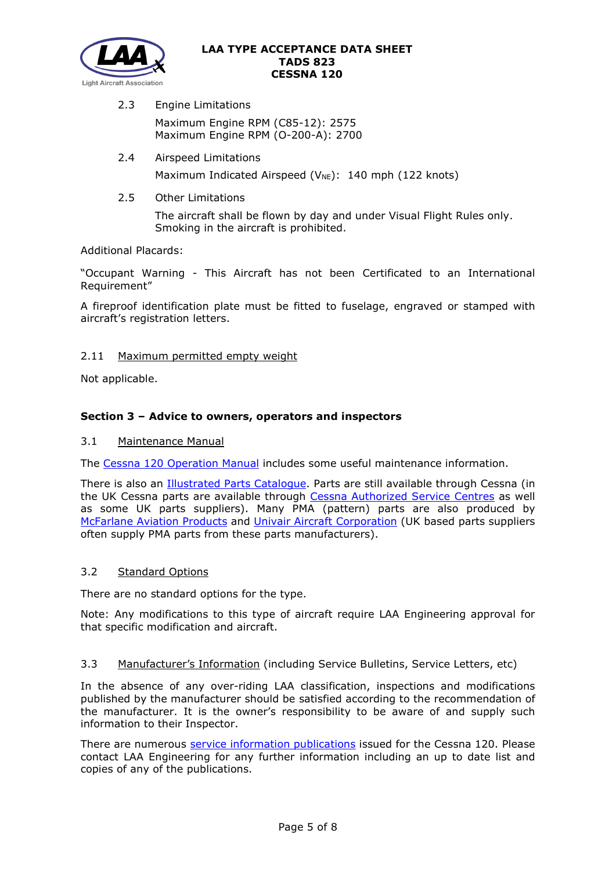

- 2.3 Engine Limitations Maximum Engine RPM (C85-12): 2575 Maximum Engine RPM (O-200-A): 2700
- 2.4 Airspeed Limitations Maximum Indicated Airspeed ( $V_{NE}$ ): 140 mph (122 knots)
- 2.5 Other Limitations

The aircraft shall be flown by day and under Visual Flight Rules only. Smoking in the aircraft is prohibited.

Additional Placards:

"Occupant Warning - This Aircraft has not been Certificated to an International Requirement"

A fireproof identification plate must be fitted to fuselage, engraved or stamped with aircraft's registration letters.

# 2.11 Maximum permitted empty weight

Not applicable.

# **Section 3 – Advice to owners, operators and inspectors**

## 3.1 Maintenance Manual

The [Cessna 120 Operation Manual](http://www.lightaircraftassociation.co.uk/engineering/TADs/823/Cessna%20120%20Operation%20Manual.pdf) includes some useful maintenance information.

There is also an [Illustrated Parts Catalogue.](http://www.lightaircraftassociation.co.uk/engineering/TADs/823/Cessna%20120%20IPC%20P104-12.pdf) Parts are still available through Cessna (in the UK Cessna parts are available through [Cessna Authorized Service Centres](http://txtav.com/en/service-locator) as well as some UK parts suppliers). Many PMA (pattern) parts are also produced by [McFarlane Aviation](https://www.mcfarlaneaviation.com/) Products and [Univair Aircraft Corporation](http://www.univair.com/categories/cessna/parts/cessna-120-140.html) (UK based parts suppliers often supply PMA parts from these parts manufacturers).

## 3.2 Standard Options

There are no standard options for the type.

Note: Any modifications to this type of aircraft require LAA Engineering approval for that specific modification and aircraft.

## 3.3 Manufacturer's Information (including Service Bulletins, Service Letters, etc)

In the absence of any over-riding LAA classification, inspections and modifications published by the manufacturer should be satisfied according to the recommendation of the manufacturer. It is the owner's responsibility to be aware of and supply such information to their Inspector.

There are numerous [service information publications](http://www.lightaircraftassociation.co.uk/engineering/TADs/823/Cessna%20120%20SB%20List%20150118.pdf) issued for the Cessna 120. Please contact LAA Engineering for any further information including an up to date list and copies of any of the publications.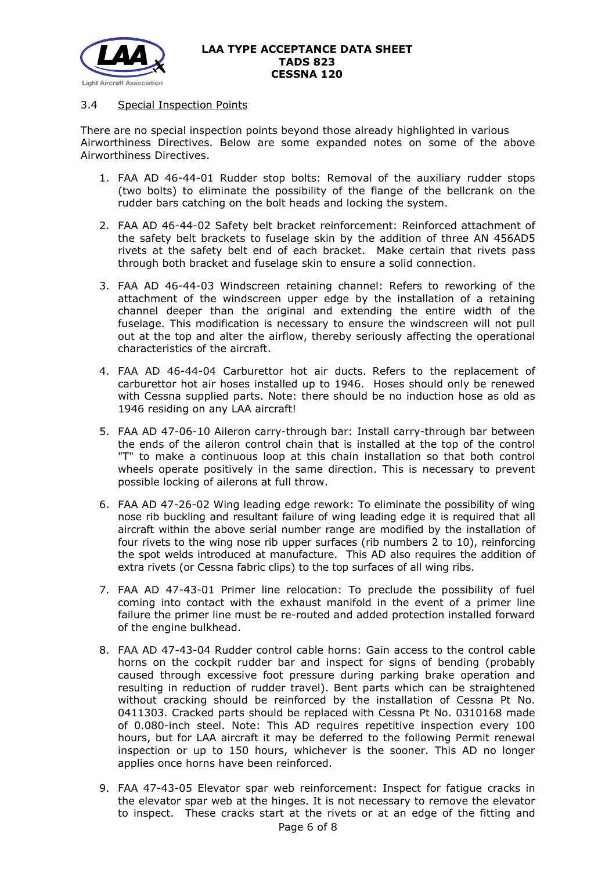

# 3.4 Special Inspection Points

There are no special inspection points beyond those already highlighted in various Airworthiness Directives. Below are some expanded notes on some of the above Airworthiness Directives.

- 1. FAA AD 46-44-01 Rudder stop bolts: Removal of the auxiliary rudder stops (two bolts) to eliminate the possibility of the flange of the bellcrank on the rudder bars catching on the bolt heads and locking the system.
- 2. FAA AD 46-44-02 Safety belt bracket reinforcement: Reinforced attachment of the safety belt brackets to fuselage skin by the addition of three AN 456AD5 rivets at the safety belt end of each bracket. Make certain that rivets pass through both bracket and fuselage skin to ensure a solid connection.
- 3. FAA AD 46-44-03 Windscreen retaining channel: Refers to reworking of the attachment of the windscreen upper edge by the installation of a retaining channel deeper than the original and extending the entire width of the fuselage. This modification is necessary to ensure the windscreen will not pull out at the top and alter the airflow, thereby seriously affecting the operational characteristics of the aircraft.
- 4. FAA AD 46-44-04 Carburettor hot air ducts. Refers to the replacement of carburettor hot air hoses installed up to 1946. Hoses should only be renewed with Cessna supplied parts. Note: there should be no induction hose as old as 1946 residing on any LAA aircraft!
- 5. FAA AD 47-06-10 Aileron carry-through bar: Install carry-through bar between the ends of the aileron control chain that is installed at the top of the control "T" to make a continuous loop at this chain installation so that both control wheels operate positively in the same direction. This is necessary to prevent possible locking of ailerons at full throw.
- 6. FAA AD 47-26-02 Wing leading edge rework: To eliminate the possibility of wing nose rib buckling and resultant failure of wing leading edge it is required that all aircraft within the above serial number range are modified by the installation of four rivets to the wing nose rib upper surfaces (rib numbers 2 to 10), reinforcing the spot welds introduced at manufacture. This AD also requires the addition of extra rivets (or Cessna fabric clips) to the top surfaces of all wing ribs.
- 7. FAA AD 47-43-01 Primer line relocation: To preclude the possibility of fuel coming into contact with the exhaust manifold in the event of a primer line failure the primer line must be re-routed and added protection installed forward of the engine bulkhead.
- 8. FAA AD 47-43-04 Rudder control cable horns: Gain access to the control cable horns on the cockpit rudder bar and inspect for signs of bending (probably caused through excessive foot pressure during parking brake operation and resulting in reduction of rudder travel). Bent parts which can be straightened without cracking should be reinforced by the installation of Cessna Pt No. 0411303. Cracked parts should be replaced with Cessna Pt No. 0310168 made of 0.080-inch steel. Note: This AD requires repetitive inspection every 100 hours, but for LAA aircraft it may be deferred to the following Permit renewal inspection or up to 150 hours, whichever is the sooner. This AD no longer applies once horns have been reinforced.
- Page 6 of 8 9. FAA 47-43-05 Elevator spar web reinforcement: Inspect for fatigue cracks in the elevator spar web at the hinges. It is not necessary to remove the elevator to inspect. These cracks start at the rivets or at an edge of the fitting and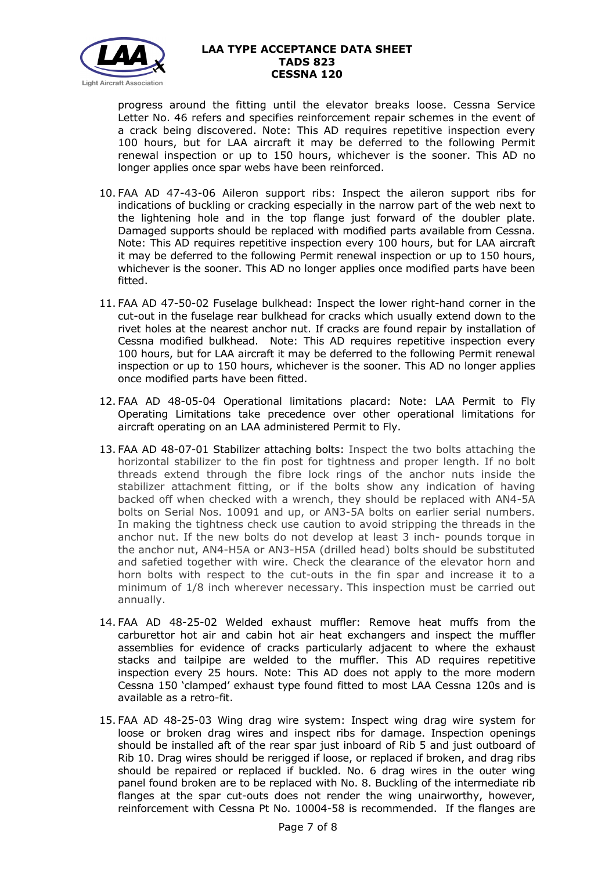

progress around the fitting until the elevator breaks loose. Cessna Service Letter No. 46 refers and specifies reinforcement repair schemes in the event of a crack being discovered. Note: This AD requires repetitive inspection every 100 hours, but for LAA aircraft it may be deferred to the following Permit renewal inspection or up to 150 hours, whichever is the sooner. This AD no longer applies once spar webs have been reinforced.

- 10. FAA AD 47-43-06 Aileron support ribs: Inspect the aileron support ribs for indications of buckling or cracking especially in the narrow part of the web next to the lightening hole and in the top flange just forward of the doubler plate. Damaged supports should be replaced with modified parts available from Cessna. Note: This AD requires repetitive inspection every 100 hours, but for LAA aircraft it may be deferred to the following Permit renewal inspection or up to 150 hours, whichever is the sooner. This AD no longer applies once modified parts have been fitted.
- 11. FAA AD 47-50-02 Fuselage bulkhead: Inspect the lower right-hand corner in the cut-out in the fuselage rear bulkhead for cracks which usually extend down to the rivet holes at the nearest anchor nut. If cracks are found repair by installation of Cessna modified bulkhead. Note: This AD requires repetitive inspection every 100 hours, but for LAA aircraft it may be deferred to the following Permit renewal inspection or up to 150 hours, whichever is the sooner. This AD no longer applies once modified parts have been fitted.
- 12. FAA AD 48-05-04 Operational limitations placard: Note: LAA Permit to Fly Operating Limitations take precedence over other operational limitations for aircraft operating on an LAA administered Permit to Fly.
- 13. FAA AD 48-07-01 Stabilizer attaching bolts: Inspect the two bolts attaching the horizontal stabilizer to the fin post for tightness and proper length. If no bolt threads extend through the fibre lock rings of the anchor nuts inside the stabilizer attachment fitting, or if the bolts show any indication of having backed off when checked with a wrench, they should be replaced with AN4-5A bolts on Serial Nos. 10091 and up, or AN3-5A bolts on earlier serial numbers. In making the tightness check use caution to avoid stripping the threads in the anchor nut. If the new bolts do not develop at least 3 inch- pounds torque in the anchor nut, AN4-H5A or AN3-H5A (drilled head) bolts should be substituted and safetied together with wire. Check the clearance of the elevator horn and horn bolts with respect to the cut-outs in the fin spar and increase it to a minimum of 1/8 inch wherever necessary. This inspection must be carried out annually.
- 14. FAA AD 48-25-02 Welded exhaust muffler: Remove heat muffs from the carburettor hot air and cabin hot air heat exchangers and inspect the muffler assemblies for evidence of cracks particularly adjacent to where the exhaust stacks and tailpipe are welded to the muffler. This AD requires repetitive inspection every 25 hours. Note: This AD does not apply to the more modern Cessna 150 'clamped' exhaust type found fitted to most LAA Cessna 120s and is available as a retro-fit.
- 15. FAA AD 48-25-03 Wing drag wire system: Inspect wing drag wire system for loose or broken drag wires and inspect ribs for damage. Inspection openings should be installed aft of the rear spar just inboard of Rib 5 and just outboard of Rib 10. Drag wires should be rerigged if loose, or replaced if broken, and drag ribs should be repaired or replaced if buckled. No. 6 drag wires in the outer wing panel found broken are to be replaced with No. 8. Buckling of the intermediate rib flanges at the spar cut-outs does not render the wing unairworthy, however, reinforcement with Cessna Pt No. 10004-58 is recommended. If the flanges are